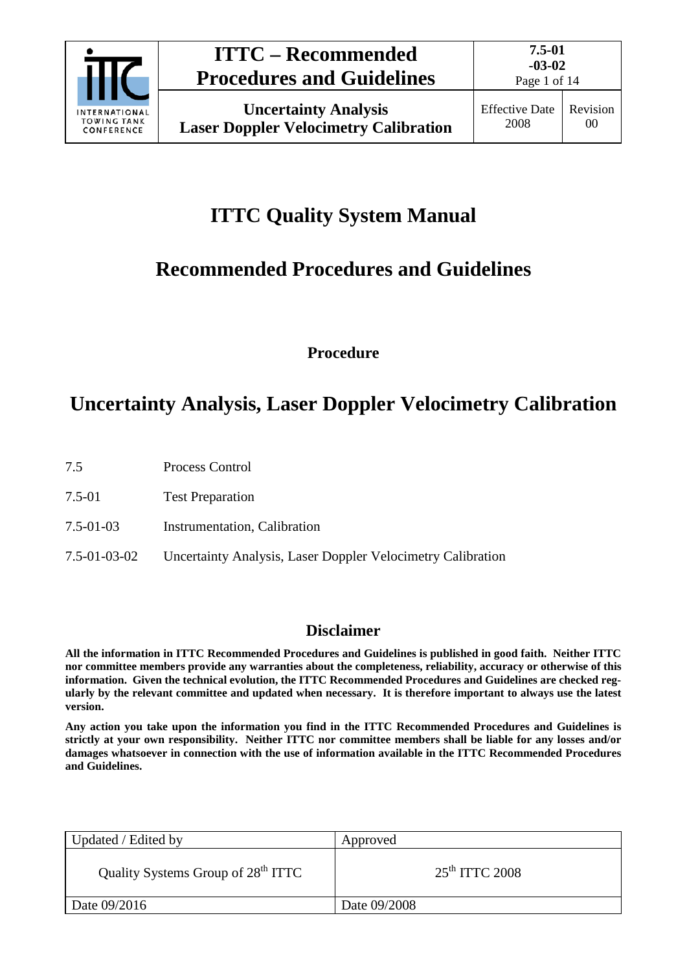

Page 1 of 14

# **ITTC Quality System Manual**

# **Recommended Procedures and Guidelines**

**Procedure**

## **Uncertainty Analysis, Laser Doppler Velocimetry Calibration**

- 7.5 Process Control
- 7.5-01 Test Preparation
- 7.5-01-03 Instrumentation, Calibration
- 7.5-01-03-02 Uncertainty Analysis, Laser Doppler Velocimetry Calibration

### **Disclaimer**

**All the information in ITTC Recommended Procedures and Guidelines is published in good faith. Neither ITTC nor committee members provide any warranties about the completeness, reliability, accuracy or otherwise of this information. Given the technical evolution, the ITTC Recommended Procedures and Guidelines are checked regularly by the relevant committee and updated when necessary. It is therefore important to always use the latest version.**

**Any action you take upon the information you find in the ITTC Recommended Procedures and Guidelines is strictly at your own responsibility. Neither ITTC nor committee members shall be liable for any losses and/or damages whatsoever in connection with the use of information available in the ITTC Recommended Procedures and Guidelines.**

| Updated / Edited by                            | Approved         |
|------------------------------------------------|------------------|
| Quality Systems Group of 28 <sup>th</sup> ITTC | $25th$ ITTC 2008 |
| Date 09/2016                                   | Date 09/2008     |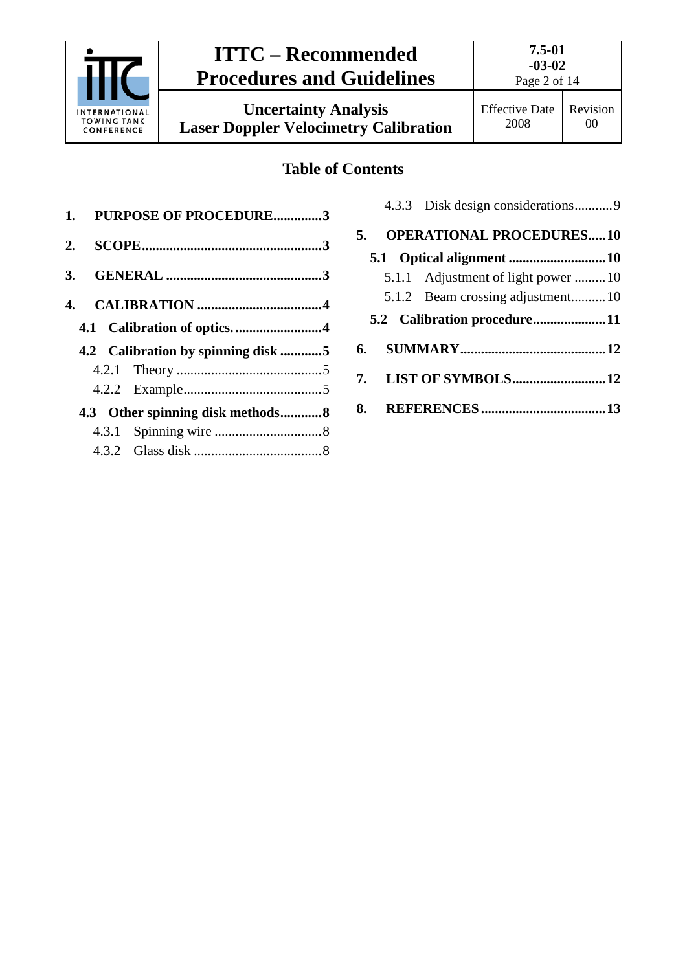

## **ITTC – Recommended Procedures and Guidelines**

**Uncertainty Analysis Laser Doppler Velocimetry Calibration**

**7.5-01 -03-02** Page 2 of 14

### **Table of Contents**

| 1. PURPOSE OF PROCEDURE3           |  |
|------------------------------------|--|
|                                    |  |
|                                    |  |
|                                    |  |
|                                    |  |
| 4.2 Calibration by spinning disk 5 |  |
|                                    |  |
|                                    |  |
|                                    |  |
| 4.3 Other spinning disk methods8   |  |
|                                    |  |
|                                    |  |

| 5. | <b>OPERATIONAL PROCEDURES10</b>    |
|----|------------------------------------|
|    |                                    |
|    | 5.1.1 Adjustment of light power 10 |
|    | 5.1.2 Beam crossing adjustment10   |
|    | 5.2 Calibration procedure11        |
|    |                                    |
|    |                                    |
|    |                                    |
|    |                                    |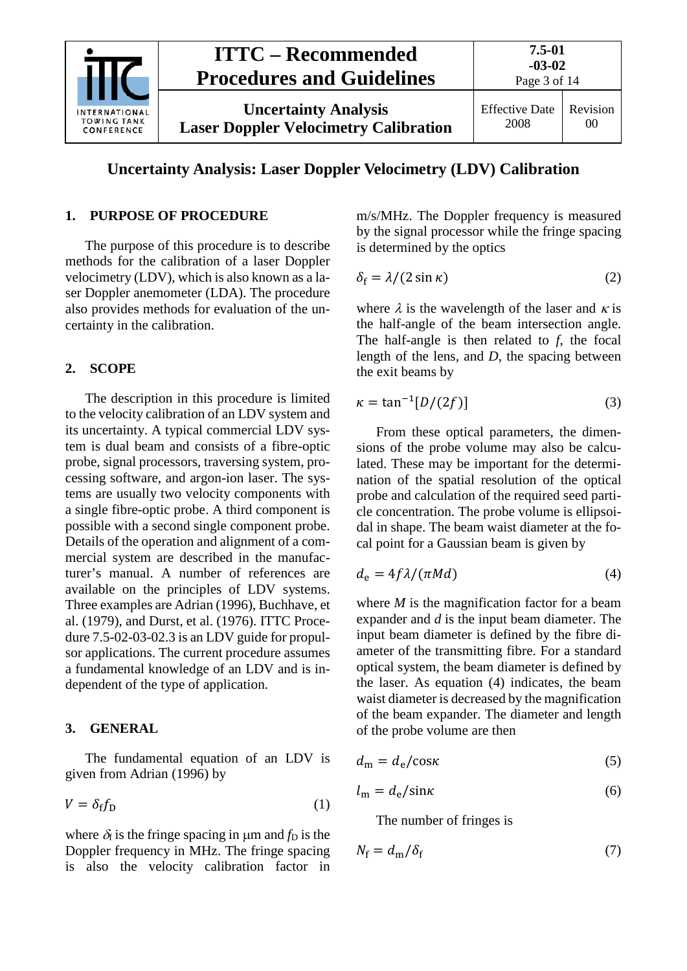

#### **Uncertainty Analysis: Laser Doppler Velocimetry (LDV) Calibration**

#### <span id="page-2-0"></span>**1. PURPOSE OF PROCEDURE**

The purpose of this procedure is to describe methods for the calibration of a laser Doppler velocimetry (LDV), which is also known as a laser Doppler anemometer (LDA). The procedure also provides methods for evaluation of the uncertainty in the calibration.

#### <span id="page-2-1"></span>**2. SCOPE**

The description in this procedure is limited to the velocity calibration of an LDV system and its uncertainty. A typical commercial LDV system is dual beam and consists of a fibre-optic probe, signal processors, traversing system, processing software, and argon-ion laser. The systems are usually two velocity components with a single fibre-optic probe. A third component is possible with a second single component probe. Details of the operation and alignment of a commercial system are described in the manufacturer's manual. A number of references are available on the principles of LDV systems. Three examples are Adrian (1996), Buchhave, et al. (1979), and Durst, et al. (1976). ITTC Procedure 7.5-02-03-02.3 is an LDV guide for propulsor applications. The current procedure assumes a fundamental knowledge of an LDV and is independent of the type of application.

#### <span id="page-2-2"></span>**3. GENERAL**

The fundamental equation of an LDV is given from Adrian (1996) by

$$
V = \delta_{\rm f} f_{\rm D} \tag{1}
$$

where  $\delta_f$  is the fringe spacing in  $\mu$ m and  $f_D$  is the Doppler frequency in MHz. The fringe spacing is also the velocity calibration factor in m/s/MHz. The Doppler frequency is measured by the signal processor while the fringe spacing is determined by the optics

$$
\delta_{\rm f} = \lambda / (2 \sin \kappa) \tag{2}
$$

where  $\lambda$  is the wavelength of the laser and  $\kappa$  is the half-angle of the beam intersection angle. The half-angle is then related to *f*, the focal length of the lens, and *D*, the spacing between the exit beams by

$$
\kappa = \tan^{-1}[D/(2f)]\tag{3}
$$

From these optical parameters, the dimensions of the probe volume may also be calculated. These may be important for the determination of the spatial resolution of the optical probe and calculation of the required seed particle concentration. The probe volume is ellipsoidal in shape. The beam waist diameter at the focal point for a Gaussian beam is given by

$$
d_{\rm e} = 4f\lambda/(\pi Md) \tag{4}
$$

where *M* is the magnification factor for a beam expander and *d* is the input beam diameter. The input beam diameter is defined by the fibre diameter of the transmitting fibre. For a standard optical system, the beam diameter is defined by the laser. As equation (4) indicates, the beam waist diameter is decreased by the magnification of the beam expander. The diameter and length of the probe volume are then

$$
d_{\rm m} = d_{\rm e}/\cos\kappa\tag{5}
$$

$$
l_{\rm m} = d_{\rm e} / \sin \kappa \tag{6}
$$

The number of fringes is

$$
N_{\rm f} = d_{\rm m}/\delta_{\rm f} \tag{7}
$$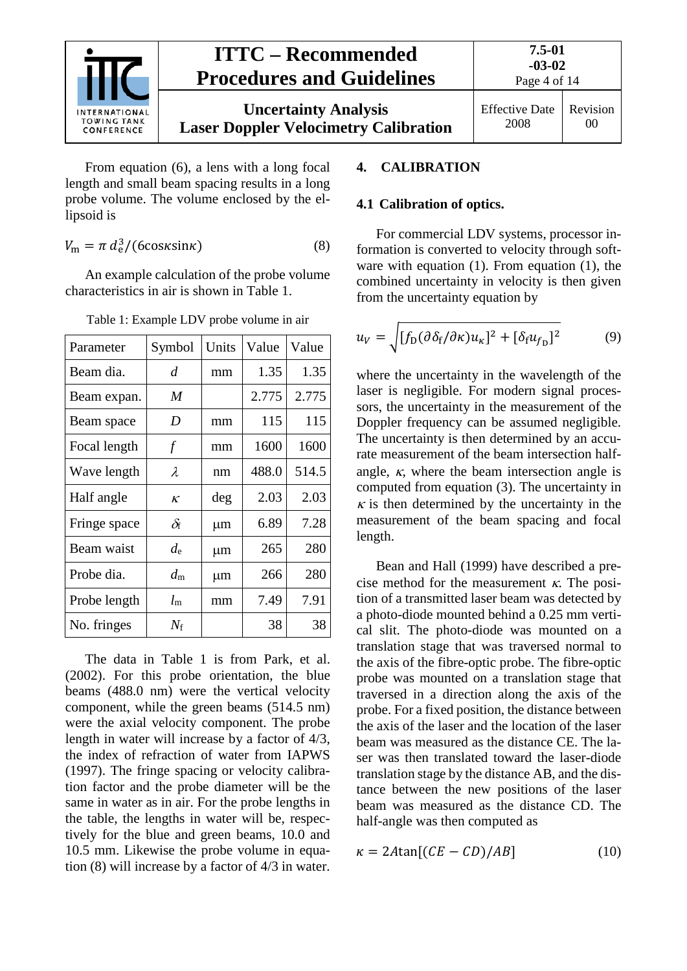

From equation (6), a lens with a long focal length and small beam spacing results in a long probe volume. The volume enclosed by the ellipsoid is

$$
V_{\rm m} = \pi \, d_{\rm e}^3 / (6 \cos \kappa \sin \kappa) \tag{8}
$$

An example calculation of the probe volume characteristics in air is shown in [Table 1.](#page-3-2)

| Parameter    | Symbol      | Units | Value | Value |  |
|--------------|-------------|-------|-------|-------|--|
| Beam dia.    | d           | mm    | 1.35  | 1.35  |  |
| Beam expan.  | M           |       | 2.775 | 2.775 |  |
| Beam space   | D           | mm    | 115   | 115   |  |
| Focal length | $\int$      | mm    | 1600  | 1600  |  |
| Wave length  | λ           | nm    | 488.0 | 514.5 |  |
| Half angle   | $\kappa$    | deg   | 2.03  | 2.03  |  |
| Fringe space | $\delta$ f  | μm    | 6.89  | 7.28  |  |
| Beam waist   | $d_{\rm e}$ | μm    | 265   | 280   |  |
| Probe dia.   | $d_{\rm m}$ | μm    | 266   | 280   |  |
| Probe length | $l_{\rm m}$ | mm    | 7.49  | 7.91  |  |
| No. fringes  | $N_{\rm f}$ |       | 38    | 38    |  |

<span id="page-3-2"></span>Table 1: Example LDV probe volume in air

The data in [Table 1](#page-3-2) is from Park, et al. (2002). For this probe orientation, the blue beams (488.0 nm) were the vertical velocity component, while the green beams (514.5 nm) were the axial velocity component. The probe length in water will increase by a factor of 4/3, the index of refraction of water from IAPWS (1997). The fringe spacing or velocity calibration factor and the probe diameter will be the same in water as in air. For the probe lengths in the table, the lengths in water will be, respectively for the blue and green beams, 10.0 and 10.5 mm. Likewise the probe volume in equation (8) will increase by a factor of 4/3 in water.

#### <span id="page-3-1"></span><span id="page-3-0"></span>**4. CALIBRATION**

#### **4.1 Calibration of optics.**

For commercial LDV systems, processor information is converted to velocity through software with equation (1). From equation (1), the combined uncertainty in velocity is then given from the uncertainty equation by

$$
u_V = \sqrt{[f_D(\partial \delta_f/\partial \kappa)u_\kappa]^2 + [\delta_f u_{f_D}]^2}
$$
(9)

where the uncertainty in the wavelength of the laser is negligible. For modern signal processors, the uncertainty in the measurement of the Doppler frequency can be assumed negligible. The uncertainty is then determined by an accurate measurement of the beam intersection halfangle,  $\kappa$ , where the beam intersection angle is computed from equation (3). The uncertainty in  $\kappa$  is then determined by the uncertainty in the measurement of the beam spacing and focal length.

Bean and Hall (1999) have described a precise method for the measurement  $\kappa$ . The position of a transmitted laser beam was detected by a photo-diode mounted behind a 0.25 mm vertical slit. The photo-diode was mounted on a translation stage that was traversed normal to the axis of the fibre-optic probe. The fibre-optic probe was mounted on a translation stage that traversed in a direction along the axis of the probe. For a fixed position, the distance between the axis of the laser and the location of the laser beam was measured as the distance CE. The laser was then translated toward the laser-diode translation stage by the distance AB, and the distance between the new positions of the laser beam was measured as the distance CD. The half-angle was then computed as

$$
\kappa = 2A \tan[(CE - CD)/AB] \tag{10}
$$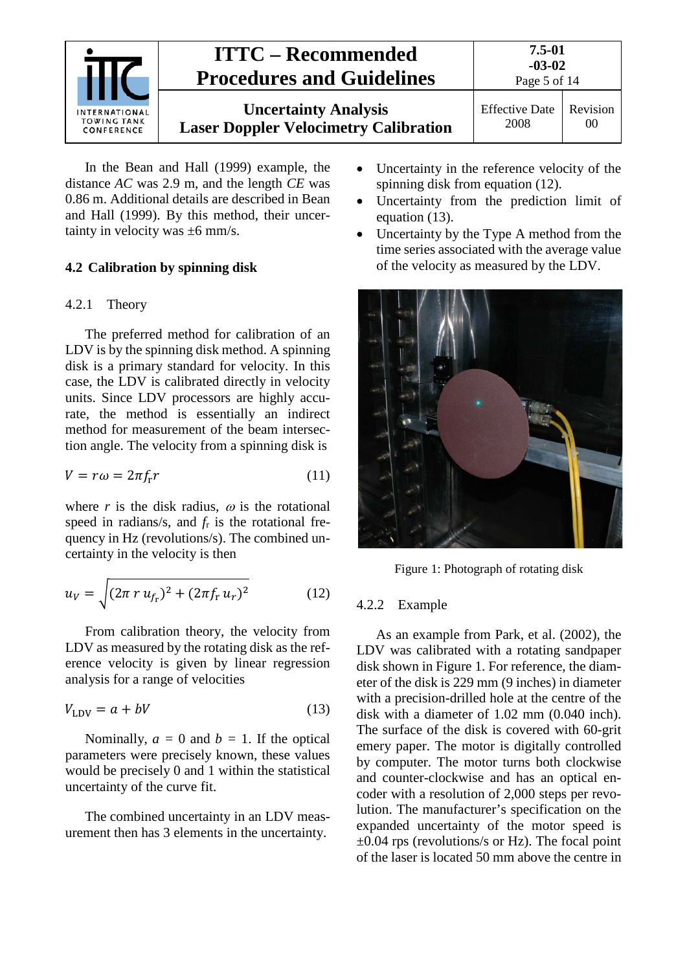

In the Bean and Hall (1999) example, the distance *AC* was 2.9 m, and the length *CE* was 0.86 m. Additional details are described in Bean and Hall (1999). By this method, their uncertainty in velocity was ±6 mm/s.

#### <span id="page-4-1"></span><span id="page-4-0"></span>**4.2 Calibration by spinning disk**

#### 4.2.1 Theory

The preferred method for calibration of an LDV is by the spinning disk method. A spinning disk is a primary standard for velocity. In this case, the LDV is calibrated directly in velocity units. Since LDV processors are highly accurate, the method is essentially an indirect method for measurement of the beam intersection angle. The velocity from a spinning disk is

$$
V = r\omega = 2\pi f_{\rm r} r \tag{11}
$$

where  $r$  is the disk radius,  $\omega$  is the rotational speed in radians/s, and *f*<sup>r</sup> is the rotational frequency in Hz (revolutions/s). The combined uncertainty in the velocity is then

$$
u_V = \sqrt{(2\pi \, r \, u_{f_r})^2 + (2\pi f_{\rm r} \, u_r)^2} \tag{12}
$$

From calibration theory, the velocity from LDV as measured by the rotating disk as the reference velocity is given by linear regression analysis for a range of velocities

$$
V_{\text{LDV}} = a + bV \tag{13}
$$

Nominally,  $a = 0$  and  $b = 1$ . If the optical parameters were precisely known, these values would be precisely 0 and 1 within the statistical uncertainty of the curve fit.

The combined uncertainty in an LDV measurement then has 3 elements in the uncertainty.

- Uncertainty in the reference velocity of the spinning disk from equation (12).
- Uncertainty from the prediction limit of equation (13).
- Uncertainty by the Type A method from the time series associated with the average value of the velocity as measured by the LDV.



Figure 1: Photograph of rotating disk

#### <span id="page-4-3"></span><span id="page-4-2"></span>4.2.2 Example

As an example from Park, et al. (2002), the LDV was calibrated with a rotating sandpaper disk shown in [Figure 1.](#page-4-3) For reference, the diameter of the disk is 229 mm (9 inches) in diameter with a precision-drilled hole at the centre of the disk with a diameter of 1.02 mm (0.040 inch). The surface of the disk is covered with 60-grit emery paper. The motor is digitally controlled by computer. The motor turns both clockwise and counter-clockwise and has an optical encoder with a resolution of 2,000 steps per revolution. The manufacturer's specification on the expanded uncertainty of the motor speed is  $\pm 0.04$  rps (revolutions/s or Hz). The focal point of the laser is located 50 mm above the centre in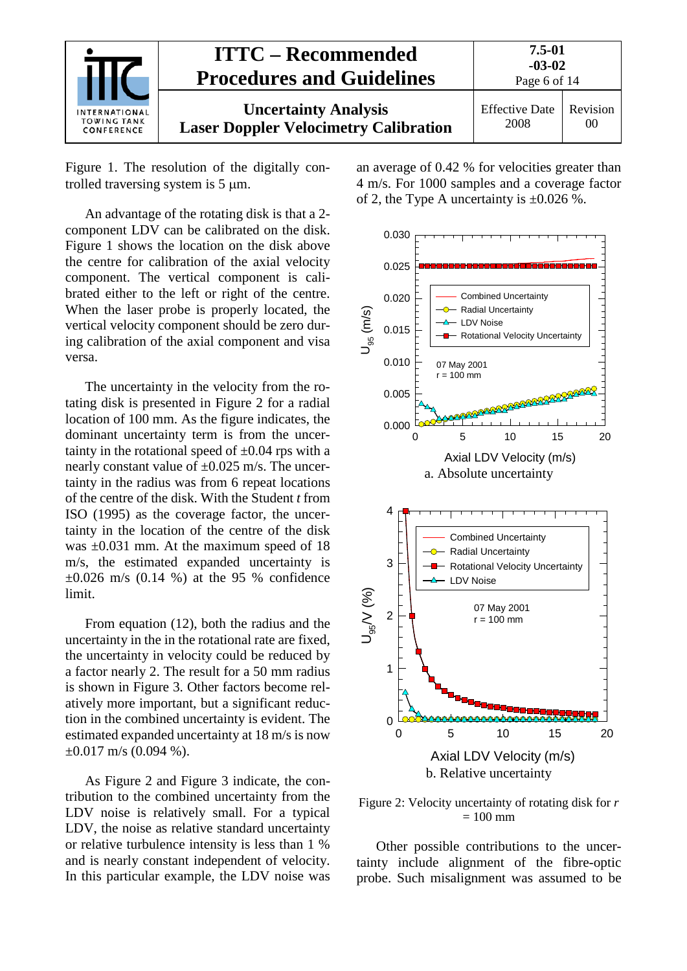| INTERNATIONAL<br><b>TOWING TANK</b><br>CONFERENCE | <b>ITTC – Recommended</b><br><b>Procedures and Guidelines</b>               | 7.5-01<br>$-03-02$<br>Page 6 of 14                          |  |
|---------------------------------------------------|-----------------------------------------------------------------------------|-------------------------------------------------------------|--|
|                                                   | <b>Uncertainty Analysis</b><br><b>Laser Doppler Velocimetry Calibration</b> | Revision<br><b>Effective Date</b><br>2008<br>0 <sup>0</sup> |  |

[Figure 1.](#page-4-3) The resolution of the digitally controlled traversing system is 5 µm.

An advantage of the rotating disk is that a 2 component LDV can be calibrated on the disk. [Figure 1](#page-4-3) shows the location on the disk above the centre for calibration of the axial velocity component. The vertical component is calibrated either to the left or right of the centre. When the laser probe is properly located, the vertical velocity component should be zero during calibration of the axial component and visa versa.

The uncertainty in the velocity from the rotating disk is presented in [Figure 2](#page-5-0) for a radial location of 100 mm. As the figure indicates, the dominant uncertainty term is from the uncertainty in the rotational speed of  $\pm 0.04$  rps with a nearly constant value of  $\pm 0.025$  m/s. The uncertainty in the radius was from 6 repeat locations of the centre of the disk. With the Student *t* from ISO (1995) as the coverage factor, the uncertainty in the location of the centre of the disk was  $\pm 0.031$  mm. At the maximum speed of 18 m/s, the estimated expanded uncertainty is  $\pm 0.026$  m/s (0.14 %) at the 95 % confidence limit.

From equation (12), both the radius and the uncertainty in the in the rotational rate are fixed, the uncertainty in velocity could be reduced by a factor nearly 2. The result for a 50 mm radius is shown in [Figure 3.](#page-6-0) Other factors become relatively more important, but a significant reduction in the combined uncertainty is evident. The estimated expanded uncertainty at 18 m/s is now  $\pm 0.017$  m/s (0.094 %).

As [Figure 2](#page-5-0) and [Figure 3](#page-6-0) indicate, the contribution to the combined uncertainty from the LDV noise is relatively small. For a typical LDV, the noise as relative standard uncertainty or relative turbulence intensity is less than 1 % and is nearly constant independent of velocity. In this particular example, the LDV noise was an average of 0.42 % for velocities greater than 4 m/s. For 1000 samples and a coverage factor of 2, the Type A uncertainty is  $\pm 0.026$  %.



<span id="page-5-0"></span>Figure 2: Velocity uncertainty of rotating disk for *r*  $= 100$  mm

Other possible contributions to the uncertainty include alignment of the fibre-optic probe. Such misalignment was assumed to be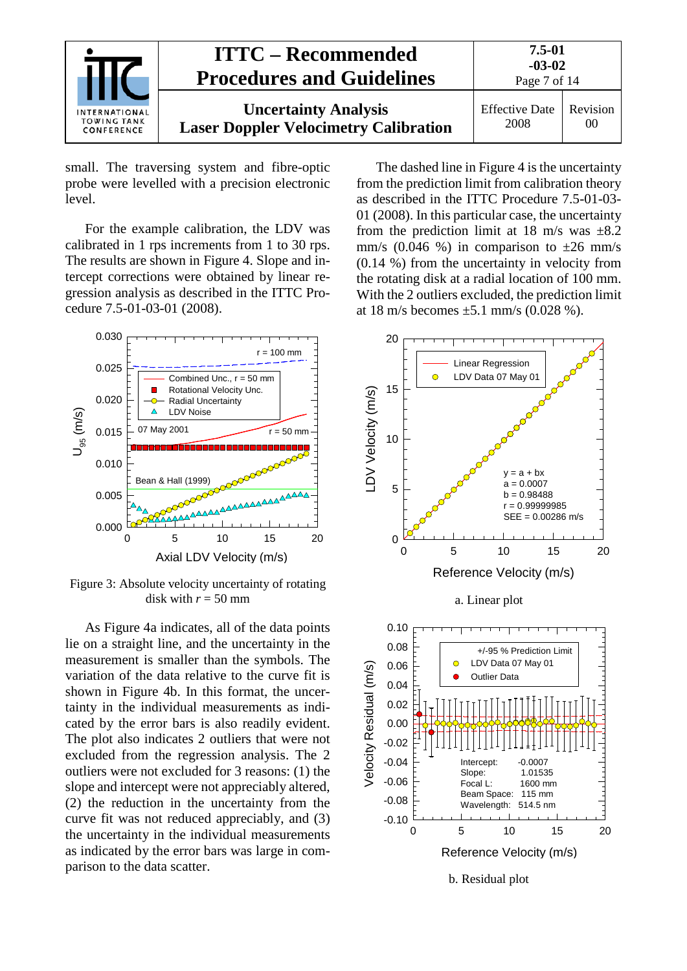

small. The traversing system and fibre-optic probe were levelled with a precision electronic level.

For the example calibration, the LDV was calibrated in 1 rps increments from 1 to 30 rps. The results are shown in [Figure 4.](#page-7-3) Slope and intercept corrections were obtained by linear regression analysis as described in the ITTC Procedure 7.5-01-03-01 (2008).



<span id="page-6-0"></span>Figure 3: Absolute velocity uncertainty of rotating disk with  $r = 50$  mm

As [Figure 4a](#page-7-3) indicates, all of the data points lie on a straight line, and the uncertainty in the measurement is smaller than the symbols. The variation of the data relative to the curve fit is shown in [Figure 4b](#page-7-3). In this format, the uncertainty in the individual measurements as indicated by the error bars is also readily evident. The plot also indicates 2 outliers that were not excluded from the regression analysis. The 2 outliers were not excluded for 3 reasons: (1) the slope and intercept were not appreciably altered, (2) the reduction in the uncertainty from the curve fit was not reduced appreciably, and (3) the uncertainty in the individual measurements as indicated by the error bars was large in comparison to the data scatter.

The dashed line in [Figure 4](#page-7-3) is the uncertainty from the prediction limit from calibration theory as described in the ITTC Procedure 7.5-01-03- 01 (2008). In this particular case, the uncertainty from the prediction limit at 18 m/s was  $\pm 8.2$ mm/s (0.046 %) in comparison to  $\pm 26$  mm/s (0.14 %) from the uncertainty in velocity from the rotating disk at a radial location of 100 mm. With the 2 outliers excluded, the prediction limit at 18 m/s becomes  $\pm$ 5.1 mm/s (0.028 %).

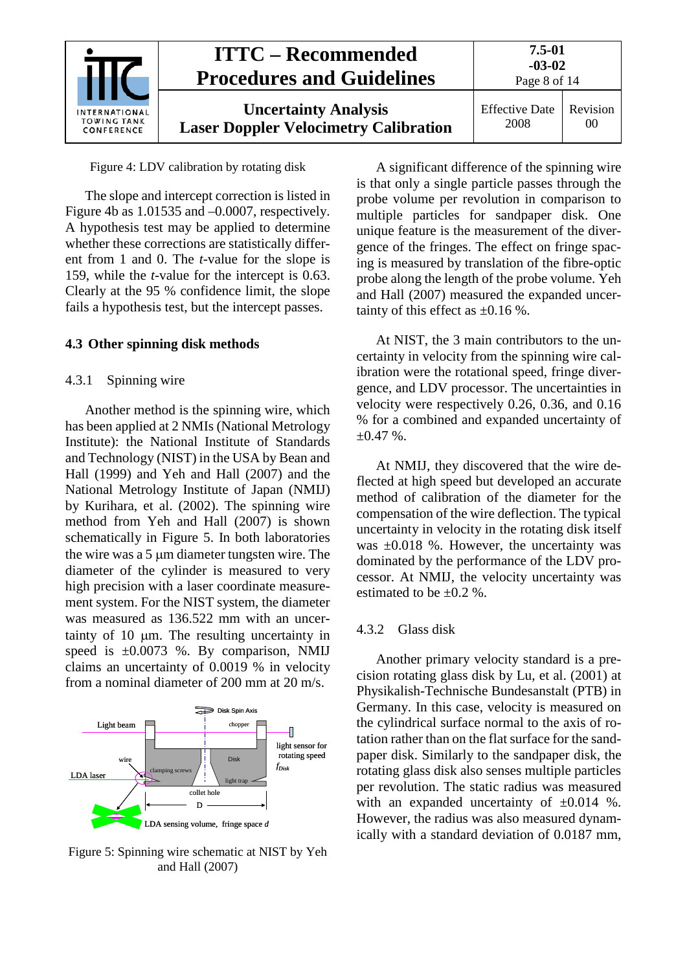

Figure 4: LDV calibration by rotating disk

<span id="page-7-3"></span>The slope and intercept correction is listed in [Figure 4b](#page-7-3) as 1.01535 and –0.0007, respectively. A hypothesis test may be applied to determine whether these corrections are statistically different from 1 and 0. The *t*-value for the slope is 159, while the *t*-value for the intercept is 0.63. Clearly at the 95 % confidence limit, the slope fails a hypothesis test, but the intercept passes.

#### <span id="page-7-1"></span><span id="page-7-0"></span>**4.3 Other spinning disk methods**

#### 4.3.1 Spinning wire

Another method is the spinning wire, which has been applied at 2 NMIs (National Metrology Institute): the National Institute of Standards and Technology (NIST) in the USA by Bean and Hall (1999) and Yeh and Hall (2007) and the National Metrology Institute of Japan (NMIJ) by Kurihara, et al. (2002). The spinning wire method from Yeh and Hall (2007) is shown schematically in [Figure 5.](#page-7-4) In both laboratories the wire was a 5 µm diameter tungsten wire. The diameter of the cylinder is measured to very high precision with a laser coordinate measurement system. For the NIST system, the diameter was measured as 136.522 mm with an uncertainty of 10 µm. The resulting uncertainty in speed is  $\pm 0.0073$  %. By comparison, NMIJ claims an uncertainty of 0.0019 % in velocity from a nominal diameter of 200 mm at 20 m/s.



<span id="page-7-4"></span>Figure 5: Spinning wire schematic at NIST by Yeh and Hall (2007)

A significant difference of the spinning wire is that only a single particle passes through the probe volume per revolution in comparison to multiple particles for sandpaper disk. One unique feature is the measurement of the divergence of the fringes. The effect on fringe spacing is measured by translation of the fibre-optic probe along the length of the probe volume. Yeh and Hall (2007) measured the expanded uncertainty of this effect as  $\pm 0.16$  %.

At NIST, the 3 main contributors to the uncertainty in velocity from the spinning wire calibration were the rotational speed, fringe divergence, and LDV processor. The uncertainties in velocity were respectively 0.26, 0.36, and 0.16 % for a combined and expanded uncertainty of  $\pm 0.47$  %.

At NMIJ, they discovered that the wire deflected at high speed but developed an accurate method of calibration of the diameter for the compensation of the wire deflection. The typical uncertainty in velocity in the rotating disk itself was  $\pm 0.018$  %. However, the uncertainty was dominated by the performance of the LDV processor. At NMIJ, the velocity uncertainty was estimated to be  $\pm 0.2$  %.

#### <span id="page-7-2"></span>4.3.2 Glass disk

Another primary velocity standard is a precision rotating glass disk by Lu, et al. (2001) at Physikalish-Technische Bundesanstalt (PTB) in Germany. In this case, velocity is measured on the cylindrical surface normal to the axis of rotation rather than on the flat surface for the sandpaper disk. Similarly to the sandpaper disk, the rotating glass disk also senses multiple particles per revolution. The static radius was measured with an expanded uncertainty of  $\pm 0.014$  %. However, the radius was also measured dynamically with a standard deviation of 0.0187 mm,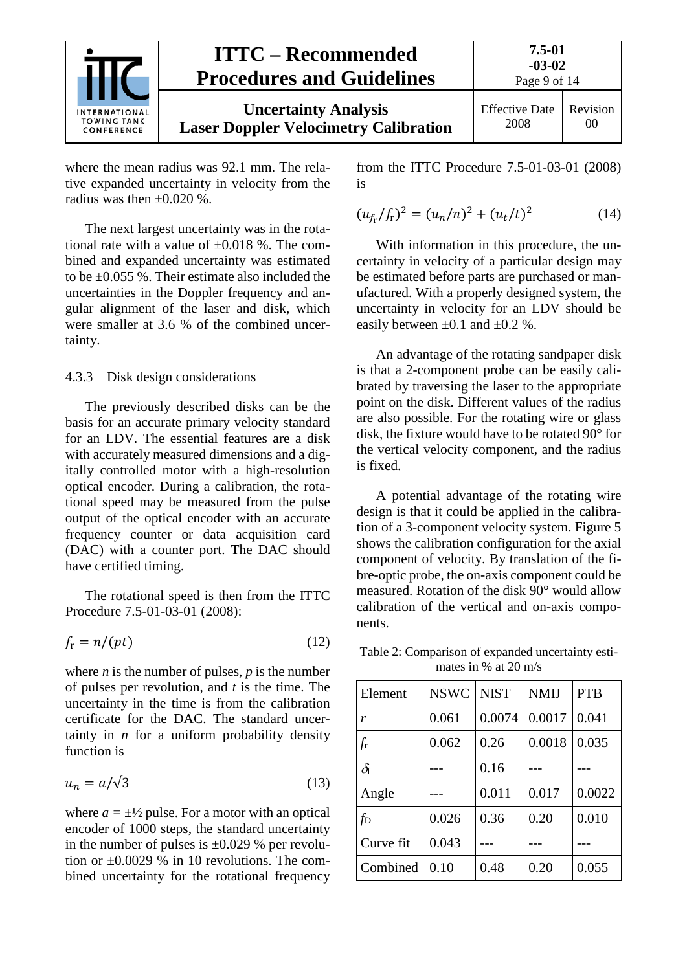

where the mean radius was 92.1 mm. The relative expanded uncertainty in velocity from the radius was then  $\pm 0.020$  %.

The next largest uncertainty was in the rotational rate with a value of  $\pm 0.018$  %. The combined and expanded uncertainty was estimated to be ±0.055 %. Their estimate also included the uncertainties in the Doppler frequency and angular alignment of the laser and disk, which were smaller at 3.6 % of the combined uncertainty.

#### <span id="page-8-0"></span>4.3.3 Disk design considerations

The previously described disks can be the basis for an accurate primary velocity standard for an LDV. The essential features are a disk with accurately measured dimensions and a digitally controlled motor with a high-resolution optical encoder. During a calibration, the rotational speed may be measured from the pulse output of the optical encoder with an accurate frequency counter or data acquisition card (DAC) with a counter port. The DAC should have certified timing.

The rotational speed is then from the ITTC Procedure 7.5-01-03-01 (2008):

$$
f_{\rm r} = n/(pt) \tag{12}
$$

where  $n$  is the number of pulses,  $p$  is the number of pulses per revolution, and *t* is the time. The uncertainty in the time is from the calibration certificate for the DAC. The standard uncertainty in  $n$  for a uniform probability density function is

$$
u_n = a/\sqrt{3} \tag{13}
$$

where  $a = \pm \frac{1}{2}$  pulse. For a motor with an optical encoder of 1000 steps, the standard uncertainty in the number of pulses is  $\pm 0.029$  % per revolution or  $\pm 0.0029$  % in 10 revolutions. The combined uncertainty for the rotational frequency from the ITTC Procedure 7.5-01-03-01 (2008) is

$$
(u_{f_{\rm r}}/f_{\rm r})^2 = (u_n/n)^2 + (u_t/t)^2 \tag{14}
$$

With information in this procedure, the uncertainty in velocity of a particular design may be estimated before parts are purchased or manufactured. With a properly designed system, the uncertainty in velocity for an LDV should be easily between  $\pm 0.1$  and  $\pm 0.2$  %.

An advantage of the rotating sandpaper disk is that a 2-component probe can be easily calibrated by traversing the laser to the appropriate point on the disk. Different values of the radius are also possible. For the rotating wire or glass disk, the fixture would have to be rotated 90° for the vertical velocity component, and the radius is fixed.

A potential advantage of the rotating wire design is that it could be applied in the calibration of a 3-component velocity system. [Figure 5](#page-7-4) shows the calibration configuration for the axial component of velocity. By translation of the fibre-optic probe, the on-axis component could be measured. Rotation of the disk 90° would allow calibration of the vertical and on-axis components.

<span id="page-8-1"></span>Table 2: Comparison of expanded uncertainty estimates in % at 20 m/s

| Element     | <b>NSWC</b> | <b>NIST</b> | <b>NMIJ</b> | <b>PTB</b> |
|-------------|-------------|-------------|-------------|------------|
| r           | 0.061       | 0.0074      | 0.0017      | 0.041      |
| $f_{\rm r}$ | 0.062       | 0.26        | 0.0018      | 0.035      |
| $\delta$ f  |             | 0.16        |             |            |
| Angle       |             | 0.011       | 0.017       | 0.0022     |
| $f_{\rm D}$ | 0.026       | 0.36        | 0.20        | 0.010      |
| Curve fit   | 0.043       |             |             |            |
| Combined    | 0.10        | 0.48        | 0.20        | 0.055      |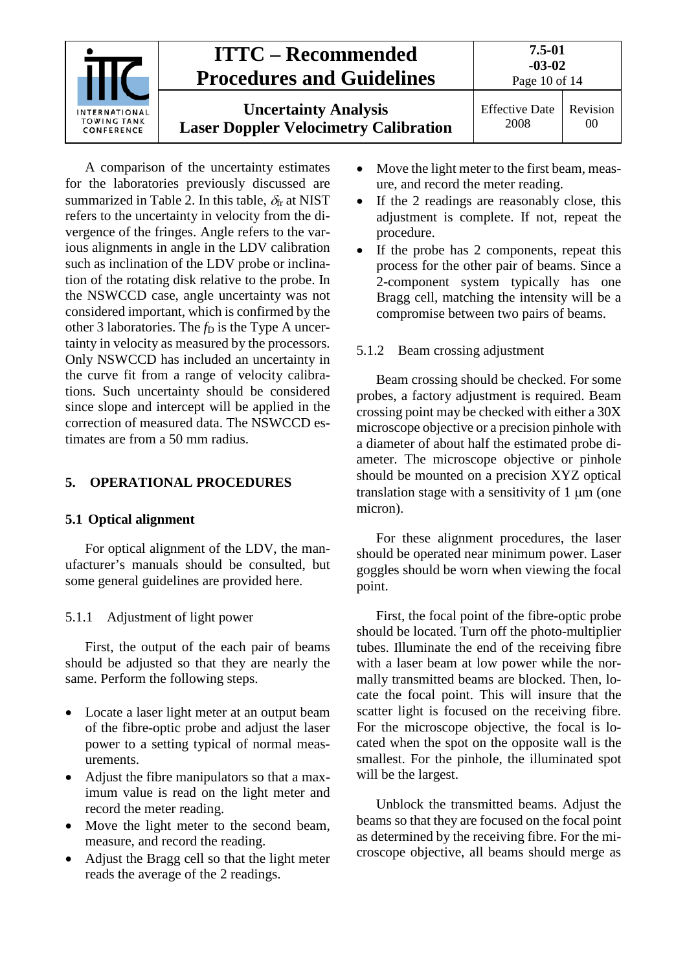

A comparison of the uncertainty estimates for the laboratories previously discussed are summarized in [Table 2.](#page-8-1) In this table,  $\delta_f$  at NIST refers to the uncertainty in velocity from the divergence of the fringes. Angle refers to the various alignments in angle in the LDV calibration such as inclination of the LDV probe or inclination of the rotating disk relative to the probe. In the NSWCCD case, angle uncertainty was not considered important, which is confirmed by the other 3 laboratories. The  $f<sub>D</sub>$  is the Type A uncertainty in velocity as measured by the processors. Only NSWCCD has included an uncertainty in the curve fit from a range of velocity calibrations. Such uncertainty should be considered since slope and intercept will be applied in the correction of measured data. The NSWCCD estimates are from a 50 mm radius.

#### <span id="page-9-1"></span><span id="page-9-0"></span>**5. OPERATIONAL PROCEDURES**

#### **5.1 Optical alignment**

For optical alignment of the LDV, the manufacturer's manuals should be consulted, but some general guidelines are provided here.

#### <span id="page-9-2"></span>5.1.1 Adjustment of light power

First, the output of the each pair of beams should be adjusted so that they are nearly the same. Perform the following steps.

- Locate a laser light meter at an output beam of the fibre-optic probe and adjust the laser power to a setting typical of normal measurements.
- Adjust the fibre manipulators so that a maximum value is read on the light meter and record the meter reading.
- Move the light meter to the second beam, measure, and record the reading.
- Adjust the Bragg cell so that the light meter reads the average of the 2 readings.
- Move the light meter to the first beam, measure, and record the meter reading.
- If the 2 readings are reasonably close, this adjustment is complete. If not, repeat the procedure.
- If the probe has 2 components, repeat this process for the other pair of beams. Since a 2-component system typically has one Bragg cell, matching the intensity will be a compromise between two pairs of beams.

#### <span id="page-9-3"></span>5.1.2 Beam crossing adjustment

Beam crossing should be checked. For some probes, a factory adjustment is required. Beam crossing point may be checked with either a 30X microscope objective or a precision pinhole with a diameter of about half the estimated probe diameter. The microscope objective or pinhole should be mounted on a precision XYZ optical translation stage with a sensitivity of  $1 \mu m$  (one micron).

For these alignment procedures, the laser should be operated near minimum power. Laser goggles should be worn when viewing the focal point.

First, the focal point of the fibre-optic probe should be located. Turn off the photo-multiplier tubes. Illuminate the end of the receiving fibre with a laser beam at low power while the normally transmitted beams are blocked. Then, locate the focal point. This will insure that the scatter light is focused on the receiving fibre. For the microscope objective, the focal is located when the spot on the opposite wall is the smallest. For the pinhole, the illuminated spot will be the largest.

Unblock the transmitted beams. Adjust the beams so that they are focused on the focal point as determined by the receiving fibre. For the microscope objective, all beams should merge as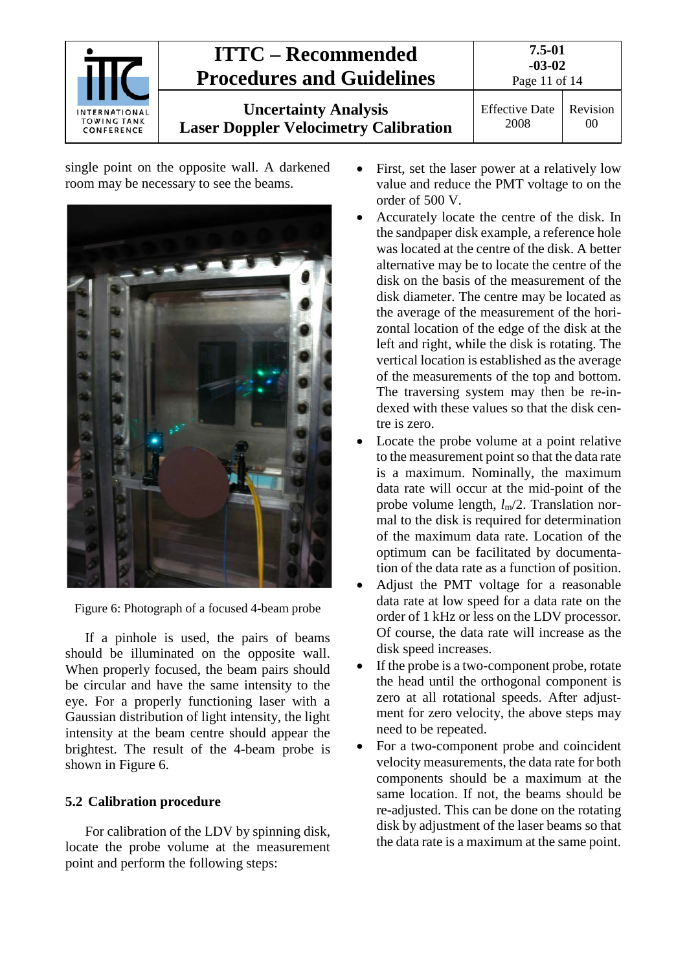

single point on the opposite wall. A darkened room may be necessary to see the beams.



Figure 6: Photograph of a focused 4-beam probe

<span id="page-10-1"></span>If a pinhole is used, the pairs of beams should be illuminated on the opposite wall. When properly focused, the beam pairs should be circular and have the same intensity to the eye. For a properly functioning laser with a Gaussian distribution of light intensity, the light intensity at the beam centre should appear the brightest. The result of the 4-beam probe is shown in [Figure 6.](#page-10-1)

#### <span id="page-10-0"></span>**5.2 Calibration procedure**

For calibration of the LDV by spinning disk, locate the probe volume at the measurement point and perform the following steps:

- First, set the laser power at a relatively low value and reduce the PMT voltage to on the order of 500 V.
- Accurately locate the centre of the disk. In the sandpaper disk example, a reference hole was located at the centre of the disk. A better alternative may be to locate the centre of the disk on the basis of the measurement of the disk diameter. The centre may be located as the average of the measurement of the horizontal location of the edge of the disk at the left and right, while the disk is rotating. The vertical location is established as the average of the measurements of the top and bottom. The traversing system may then be re-indexed with these values so that the disk centre is zero.
- Locate the probe volume at a point relative to the measurement point so that the data rate is a maximum. Nominally, the maximum data rate will occur at the mid-point of the probe volume length, *l*m/2. Translation normal to the disk is required for determination of the maximum data rate. Location of the optimum can be facilitated by documentation of the data rate as a function of position.
- Adjust the PMT voltage for a reasonable data rate at low speed for a data rate on the order of 1 kHz or less on the LDV processor. Of course, the data rate will increase as the disk speed increases.
- If the probe is a two-component probe, rotate the head until the orthogonal component is zero at all rotational speeds. After adjustment for zero velocity, the above steps may need to be repeated.
- For a two-component probe and coincident velocity measurements, the data rate for both components should be a maximum at the same location. If not, the beams should be re-adjusted. This can be done on the rotating disk by adjustment of the laser beams so that the data rate is a maximum at the same point.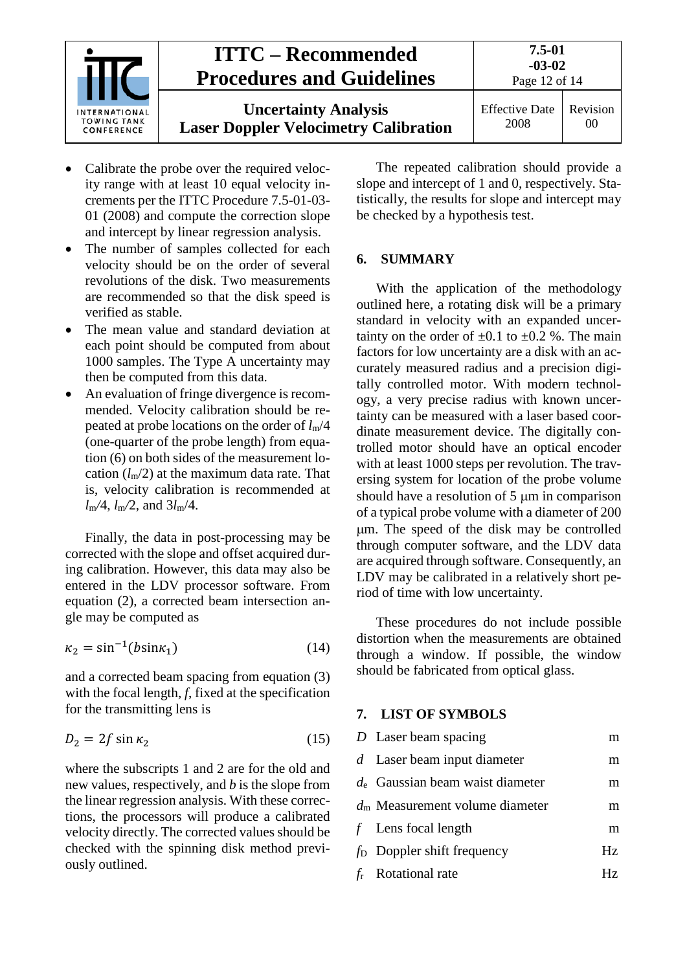

- Calibrate the probe over the required velocity range with at least 10 equal velocity increments per the ITTC Procedure 7.5-01-03- 01 (2008) and compute the correction slope and intercept by linear regression analysis.
- The number of samples collected for each velocity should be on the order of several revolutions of the disk. Two measurements are recommended so that the disk speed is verified as stable.
- The mean value and standard deviation at each point should be computed from about 1000 samples. The Type A uncertainty may then be computed from this data.
- An evaluation of fringe divergence is recommended. Velocity calibration should be repeated at probe locations on the order of *l*m/4 (one-quarter of the probe length) from equation (6) on both sides of the measurement location  $(l_m/2)$  at the maximum data rate. That is, velocity calibration is recommended at *l*m*/*4, *l*m*/*2, and 3*l*m/4.

Finally, the data in post-processing may be corrected with the slope and offset acquired during calibration. However, this data may also be entered in the LDV processor software. From equation (2), a corrected beam intersection angle may be computed as

$$
\kappa_2 = \sin^{-1}(b\sin\kappa_1) \tag{14}
$$

and a corrected beam spacing from equation (3) with the focal length, *f*, fixed at the specification for the transmitting lens is

$$
D_2 = 2f \sin \kappa_2 \tag{15}
$$

where the subscripts 1 and 2 are for the old and new values, respectively, and *b* is the slope from the linear regression analysis. With these corrections, the processors will produce a calibrated velocity directly. The corrected values should be checked with the spinning disk method previously outlined.

The repeated calibration should provide a slope and intercept of 1 and 0, respectively. Statistically, the results for slope and intercept may be checked by a hypothesis test.

#### <span id="page-11-0"></span>**6. SUMMARY**

With the application of the methodology outlined here, a rotating disk will be a primary standard in velocity with an expanded uncertainty on the order of  $\pm 0.1$  to  $\pm 0.2$  %. The main factors for low uncertainty are a disk with an accurately measured radius and a precision digitally controlled motor. With modern technology, a very precise radius with known uncertainty can be measured with a laser based coordinate measurement device. The digitally controlled motor should have an optical encoder with at least 1000 steps per revolution. The traversing system for location of the probe volume should have a resolution of 5  $\mu$ m in comparison of a typical probe volume with a diameter of 200 µm. The speed of the disk may be controlled through computer software, and the LDV data are acquired through software. Consequently, an LDV may be calibrated in a relatively short period of time with low uncertainty.

These procedures do not include possible distortion when the measurements are obtained through a window. If possible, the window should be fabricated from optical glass.

#### <span id="page-11-1"></span>**7. LIST OF SYMBOLS**

| $D$ Laser beam spacing             | m   |
|------------------------------------|-----|
| $d$ Laser beam input diameter      | m   |
| $d_e$ Gaussian beam waist diameter | m   |
| $dm$ Measurement volume diameter   | m   |
| $f$ Lens focal length              | m   |
| $fD$ Doppler shift frequency       | Hz. |
| $f_r$ Rotational rate              | Ηz  |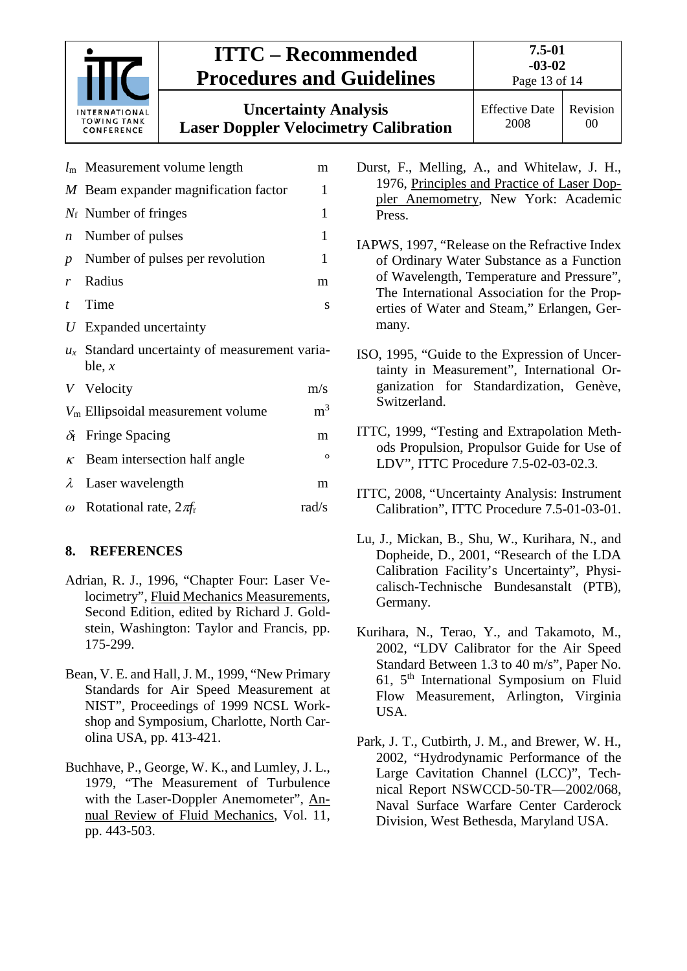

#### <span id="page-12-0"></span>**8. REFERENCES**

- Adrian, R. J., 1996, "Chapter Four: Laser Velocimetry", Fluid Mechanics Measurements, Second Edition, edited by Richard J. Goldstein, Washington: Taylor and Francis, pp. 175-299.
- Bean, V. E. and Hall, J. M., 1999, "New Primary Standards for Air Speed Measurement at NIST", Proceedings of 1999 NCSL Workshop and Symposium, Charlotte, North Carolina USA, pp. 413-421.
- Buchhave, P., George, W. K., and Lumley, J. L., 1979, "The Measurement of Turbulence with the Laser-Doppler Anemometer", Annual Review of Fluid Mechanics, Vol. 11, pp. 443-503.
- Durst, F., Melling, A., and Whitelaw, J. H., 1976, Principles and Practice of Laser Doppler Anemometry, New York: Academic
- IAPWS, 1997, "Release on the Refractive Index of Ordinary Water Substance as a Function of Wavelength, Temperature and Pressure", The International Association for the Properties of Water and Steam," Erlangen, Ger-
- tainty in Measurement", International Organization for Standardization, Genève,
- ITTC, 1999, "Testing and Extrapolation Methods Propulsion, Propulsor Guide for Use of LDV", ITTC Procedure 7.5-02-03-02.3.
- ITTC, 2008, "Uncertainty Analysis: Instrument Calibration", ITTC Procedure 7.5-01-03-01.
- Lu, J., Mickan, B., Shu, W., Kurihara, N., and Dopheide, D., 2001, "Research of the LDA Calibration Facility's Uncertainty", Physicalisch-Technische Bundesanstalt (PTB), Germany.
- Kurihara, N., Terao, Y., and Takamoto, M., 2002, "LDV Calibrator for the Air Speed Standard Between 1.3 to 40 m/s", Paper No. 61,  $5<sup>th</sup>$  International Symposium on Fluid Flow Measurement, Arlington, Virginia USA.
- Park, J. T., Cutbirth, J. M., and Brewer, W. H., 2002, "Hydrodynamic Performance of the Large Cavitation Channel (LCC)", Technical Report NSWCCD-50-TR—2002/068, Naval Surface Warfare Center Carderock Division, West Bethesda, Maryland USA.